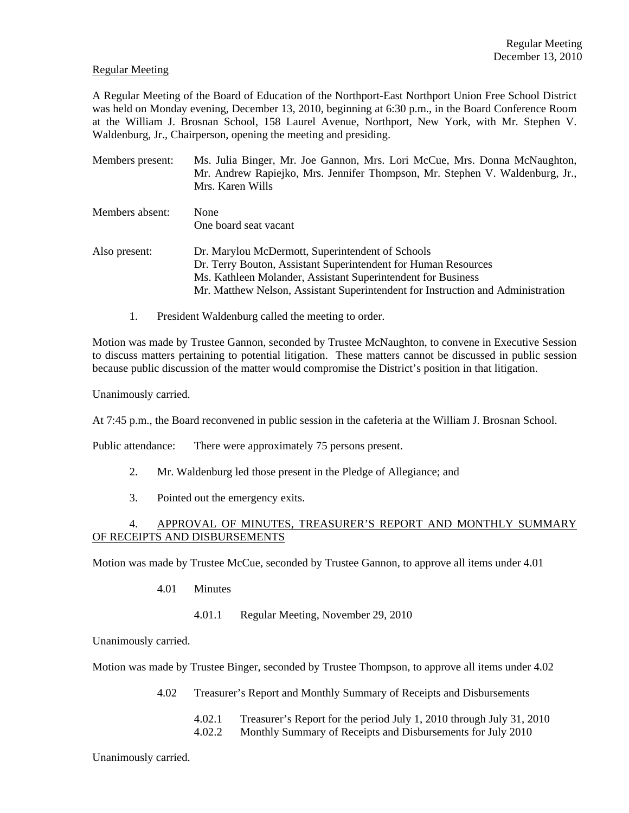### Regular Meeting

A Regular Meeting of the Board of Education of the Northport-East Northport Union Free School District was held on Monday evening, December 13, 2010, beginning at 6:30 p.m., in the Board Conference Room at the William J. Brosnan School, 158 Laurel Avenue, Northport, New York, with Mr. Stephen V. Waldenburg, Jr., Chairperson, opening the meeting and presiding.

| Members present: | Ms. Julia Binger, Mr. Joe Gannon, Mrs. Lori McCue, Mrs. Donna McNaughton,<br>Mr. Andrew Rapiejko, Mrs. Jennifer Thompson, Mr. Stephen V. Waldenburg, Jr.,<br>Mrs. Karen Wills                                                                                         |
|------------------|-----------------------------------------------------------------------------------------------------------------------------------------------------------------------------------------------------------------------------------------------------------------------|
| Members absent:  | None<br>One board seat vacant                                                                                                                                                                                                                                         |
| Also present:    | Dr. Marylou McDermott, Superintendent of Schools<br>Dr. Terry Bouton, Assistant Superintendent for Human Resources<br>Ms. Kathleen Molander, Assistant Superintendent for Business<br>Mr. Matthew Nelson, Assistant Superintendent for Instruction and Administration |

1. President Waldenburg called the meeting to order.

Motion was made by Trustee Gannon, seconded by Trustee McNaughton, to convene in Executive Session to discuss matters pertaining to potential litigation. These matters cannot be discussed in public session because public discussion of the matter would compromise the District's position in that litigation.

Unanimously carried.

At 7:45 p.m., the Board reconvened in public session in the cafeteria at the William J. Brosnan School.

Public attendance: There were approximately 75 persons present.

- 2. Mr. Waldenburg led those present in the Pledge of Allegiance; and
- 3. Pointed out the emergency exits.

# 4. APPROVAL OF MINUTES, TREASURER'S REPORT AND MONTHLY SUMMARY OF RECEIPTS AND DISBURSEMENTS

Motion was made by Trustee McCue, seconded by Trustee Gannon, to approve all items under 4.01

4.01 Minutes

4.01.1 Regular Meeting, November 29, 2010

Unanimously carried.

Motion was made by Trustee Binger, seconded by Trustee Thompson, to approve all items under 4.02

- 4.02 Treasurer's Report and Monthly Summary of Receipts and Disbursements
	- 4.02.1 Treasurer's Report for the period July 1, 2010 through July 31, 2010 4.02.2 Monthly Summary of Receipts and Disbursements for July 2010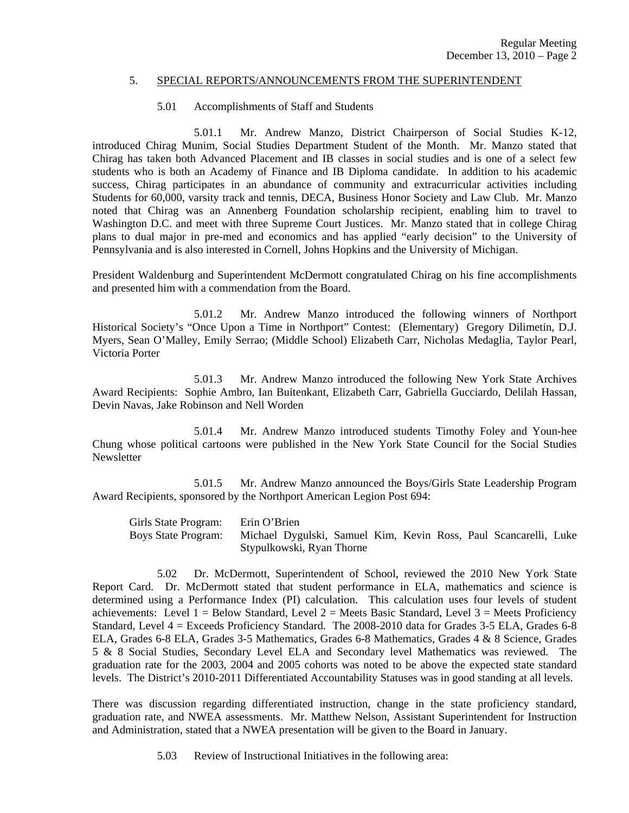### 5. SPECIAL REPORTS/ANNOUNCEMENTS FROM THE SUPERINTENDENT

### 5.01 Accomplishments of Staff and Students

 5.01.1 Mr. Andrew Manzo, District Chairperson of Social Studies K-12, introduced Chirag Munim, Social Studies Department Student of the Month. Mr. Manzo stated that Chirag has taken both Advanced Placement and IB classes in social studies and is one of a select few students who is both an Academy of Finance and IB Diploma candidate. In addition to his academic success, Chirag participates in an abundance of community and extracurricular activities including Students for 60,000, varsity track and tennis, DECA, Business Honor Society and Law Club. Mr. Manzo noted that Chirag was an Annenberg Foundation scholarship recipient, enabling him to travel to Washington D.C. and meet with three Supreme Court Justices. Mr. Manzo stated that in college Chirag plans to dual major in pre-med and economics and has applied "early decision" to the University of Pennsylvania and is also interested in Cornell, Johns Hopkins and the University of Michigan.

President Waldenburg and Superintendent McDermott congratulated Chirag on his fine accomplishments and presented him with a commendation from the Board.

 5.01.2 Mr. Andrew Manzo introduced the following winners of Northport Historical Society's "Once Upon a Time in Northport" Contest: (Elementary) Gregory Dilimetin, D.J. Myers, Sean O'Malley, Emily Serrao; (Middle School) Elizabeth Carr, Nicholas Medaglia, Taylor Pearl, Victoria Porter

 5.01.3 Mr. Andrew Manzo introduced the following New York State Archives Award Recipients: Sophie Ambro, Ian Buitenkant, Elizabeth Carr, Gabriella Gucciardo, Delilah Hassan, Devin Navas, Jake Robinson and Nell Worden

 5.01.4 Mr. Andrew Manzo introduced students Timothy Foley and Youn-hee Chung whose political cartoons were published in the New York State Council for the Social Studies Newsletter

 5.01.5 Mr. Andrew Manzo announced the Boys/Girls State Leadership Program Award Recipients, sponsored by the Northport American Legion Post 694:

 Girls State Program: Erin O'Brien Boys State Program: Michael Dygulski, Samuel Kim, Kevin Ross, Paul Scancarelli, Luke Stypulkowski, Ryan Thorne

 5.02 Dr. McDermott, Superintendent of School, reviewed the 2010 New York State Report Card. Dr. McDermott stated that student performance in ELA, mathematics and science is determined using a Performance Index (PI) calculation. This calculation uses four levels of student achievements: Level  $1 =$  Below Standard, Level  $2 =$  Meets Basic Standard, Level  $3 =$  Meets Proficiency Standard, Level 4 = Exceeds Proficiency Standard. The 2008-2010 data for Grades 3-5 ELA, Grades 6-8 ELA, Grades 6-8 ELA, Grades 3-5 Mathematics, Grades 6-8 Mathematics, Grades 4 & 8 Science, Grades 5 & 8 Social Studies, Secondary Level ELA and Secondary level Mathematics was reviewed. The graduation rate for the 2003, 2004 and 2005 cohorts was noted to be above the expected state standard levels. The District's 2010-2011 Differentiated Accountability Statuses was in good standing at all levels.

There was discussion regarding differentiated instruction, change in the state proficiency standard, graduation rate, and NWEA assessments. Mr. Matthew Nelson, Assistant Superintendent for Instruction and Administration, stated that a NWEA presentation will be given to the Board in January.

5.03 Review of Instructional Initiatives in the following area: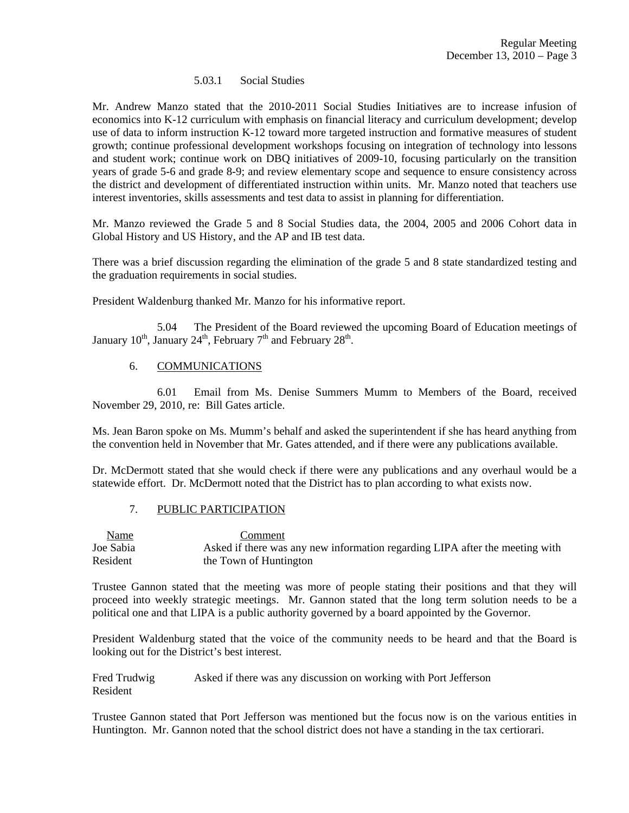### 5.03.1 Social Studies

Mr. Andrew Manzo stated that the 2010-2011 Social Studies Initiatives are to increase infusion of economics into K-12 curriculum with emphasis on financial literacy and curriculum development; develop use of data to inform instruction K-12 toward more targeted instruction and formative measures of student growth; continue professional development workshops focusing on integration of technology into lessons and student work; continue work on DBQ initiatives of 2009-10, focusing particularly on the transition years of grade 5-6 and grade 8-9; and review elementary scope and sequence to ensure consistency across the district and development of differentiated instruction within units. Mr. Manzo noted that teachers use interest inventories, skills assessments and test data to assist in planning for differentiation.

Mr. Manzo reviewed the Grade 5 and 8 Social Studies data, the 2004, 2005 and 2006 Cohort data in Global History and US History, and the AP and IB test data.

There was a brief discussion regarding the elimination of the grade 5 and 8 state standardized testing and the graduation requirements in social studies.

President Waldenburg thanked Mr. Manzo for his informative report.

 5.04 The President of the Board reviewed the upcoming Board of Education meetings of January  $10^{th}$ , January  $24^{th}$ , February  $7^{th}$  and February  $28^{th}$ .

### 6. COMMUNICATIONS

 6.01 Email from Ms. Denise Summers Mumm to Members of the Board, received November 29, 2010, re: Bill Gates article.

Ms. Jean Baron spoke on Ms. Mumm's behalf and asked the superintendent if she has heard anything from the convention held in November that Mr. Gates attended, and if there were any publications available.

Dr. McDermott stated that she would check if there were any publications and any overhaul would be a statewide effort. Dr. McDermott noted that the District has to plan according to what exists now.

#### 7. PUBLIC PARTICIPATION

 Name Comment Joe Sabia Asked if there was any new information regarding LIPA after the meeting with Resident the Town of Huntington

Trustee Gannon stated that the meeting was more of people stating their positions and that they will proceed into weekly strategic meetings. Mr. Gannon stated that the long term solution needs to be a political one and that LIPA is a public authority governed by a board appointed by the Governor.

President Waldenburg stated that the voice of the community needs to be heard and that the Board is looking out for the District's best interest.

Fred Trudwig Asked if there was any discussion on working with Port Jefferson Resident

Trustee Gannon stated that Port Jefferson was mentioned but the focus now is on the various entities in Huntington. Mr. Gannon noted that the school district does not have a standing in the tax certiorari.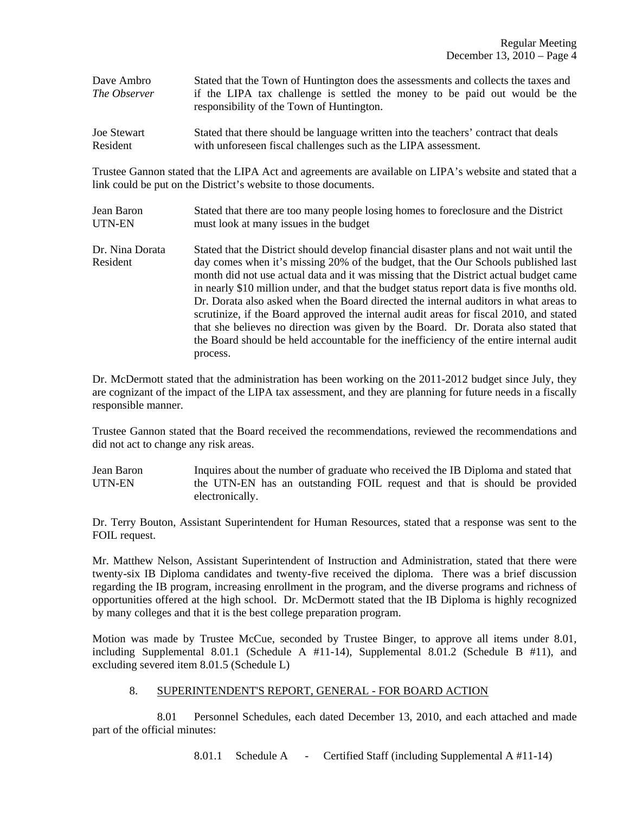| Dave Ambro          | Stated that the Town of Huntington does the assessments and collects the taxes and                                      |
|---------------------|-------------------------------------------------------------------------------------------------------------------------|
| <i>The Observer</i> | if the LIPA tax challenge is settled the money to be paid out would be the<br>responsibility of the Town of Huntington. |
|                     |                                                                                                                         |

Joe Stewart Stated that there should be language written into the teachers' contract that deals Resident with unforeseen fiscal challenges such as the LIPA assessment.

Trustee Gannon stated that the LIPA Act and agreements are available on LIPA's website and stated that a link could be put on the District's website to those documents.

- Jean Baron Stated that there are too many people losing homes to foreclosure and the District UTN-EN must look at many issues in the budget
- Dr. Nina Dorata Stated that the District should develop financial disaster plans and not wait until the Resident day comes when it's missing 20% of the budget, that the Our Schools published last month did not use actual data and it was missing that the District actual budget came in nearly \$10 million under, and that the budget status report data is five months old. Dr. Dorata also asked when the Board directed the internal auditors in what areas to scrutinize, if the Board approved the internal audit areas for fiscal 2010, and stated that she believes no direction was given by the Board. Dr. Dorata also stated that the Board should be held accountable for the inefficiency of the entire internal audit process.

Dr. McDermott stated that the administration has been working on the 2011-2012 budget since July, they are cognizant of the impact of the LIPA tax assessment, and they are planning for future needs in a fiscally responsible manner.

Trustee Gannon stated that the Board received the recommendations, reviewed the recommendations and did not act to change any risk areas.

Jean Baron Inquires about the number of graduate who received the IB Diploma and stated that UTN-EN the UTN-EN has an outstanding FOIL request and that is should be provided electronically.

Dr. Terry Bouton, Assistant Superintendent for Human Resources, stated that a response was sent to the FOIL request.

Mr. Matthew Nelson, Assistant Superintendent of Instruction and Administration, stated that there were twenty-six IB Diploma candidates and twenty-five received the diploma. There was a brief discussion regarding the IB program, increasing enrollment in the program, and the diverse programs and richness of opportunities offered at the high school. Dr. McDermott stated that the IB Diploma is highly recognized by many colleges and that it is the best college preparation program.

Motion was made by Trustee McCue, seconded by Trustee Binger, to approve all items under 8.01, including Supplemental 8.01.1 (Schedule A  $#11-14$ ), Supplemental 8.01.2 (Schedule B  $#11$ ), and excluding severed item 8.01.5 (Schedule L)

## 8. SUPERINTENDENT'S REPORT, GENERAL - FOR BOARD ACTION

 8.01 Personnel Schedules, each dated December 13, 2010, and each attached and made part of the official minutes:

8.01.1 Schedule A - Certified Staff (including Supplemental A #11-14)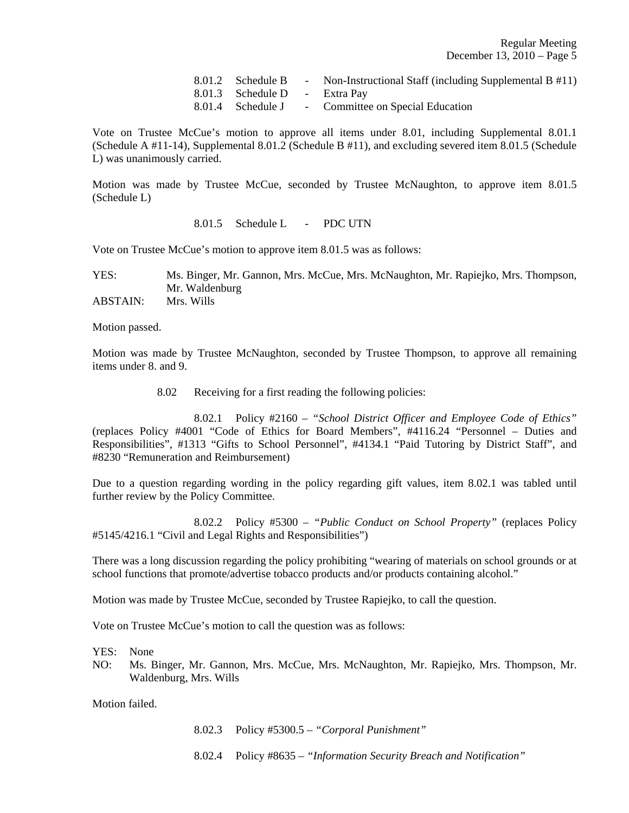|                               | 8.01.2 Schedule B - Non-Instructional Staff (including Supplemental B $\#11$ ) |
|-------------------------------|--------------------------------------------------------------------------------|
| 8.01.3 Schedule D - Extra Pav |                                                                                |
|                               | 8.01.4 Schedule J - Committee on Special Education                             |

Vote on Trustee McCue's motion to approve all items under 8.01, including Supplemental 8.01.1 (Schedule A #11-14), Supplemental 8.01.2 (Schedule B #11), and excluding severed item 8.01.5 (Schedule L) was unanimously carried.

Motion was made by Trustee McCue, seconded by Trustee McNaughton, to approve item 8.01.5 (Schedule L)

8.01.5 Schedule L - PDC UTN

Vote on Trustee McCue's motion to approve item 8.01.5 was as follows:

YES: Ms. Binger, Mr. Gannon, Mrs. McCue, Mrs. McNaughton, Mr. Rapiejko, Mrs. Thompson, Mr. Waldenburg ABSTAIN: Mrs. Wills

Motion passed.

Motion was made by Trustee McNaughton, seconded by Trustee Thompson, to approve all remaining items under 8. and 9.

8.02 Receiving for a first reading the following policies:

 8.02.1 Policy #2160 – *"School District Officer and Employee Code of Ethics"*  (replaces Policy #4001 "Code of Ethics for Board Members", #4116.24 "Personnel – Duties and Responsibilities", #1313 "Gifts to School Personnel", #4134.1 "Paid Tutoring by District Staff", and #8230 "Remuneration and Reimbursement)

Due to a question regarding wording in the policy regarding gift values, item 8.02.1 was tabled until further review by the Policy Committee.

 8.02.2 Policy #5300 – *"Public Conduct on School Property"* (replaces Policy #5145/4216.1 "Civil and Legal Rights and Responsibilities")

There was a long discussion regarding the policy prohibiting "wearing of materials on school grounds or at school functions that promote/advertise tobacco products and/or products containing alcohol."

Motion was made by Trustee McCue, seconded by Trustee Rapiejko, to call the question.

Vote on Trustee McCue's motion to call the question was as follows:

YES: None

NO: Ms. Binger, Mr. Gannon, Mrs. McCue, Mrs. McNaughton, Mr. Rapiejko, Mrs. Thompson, Mr. Waldenburg, Mrs. Wills

Motion failed.

8.02.3 Policy #5300.5 – *"Corporal Punishment"*

8.02.4 Policy #8635 – *"Information Security Breach and Notification"*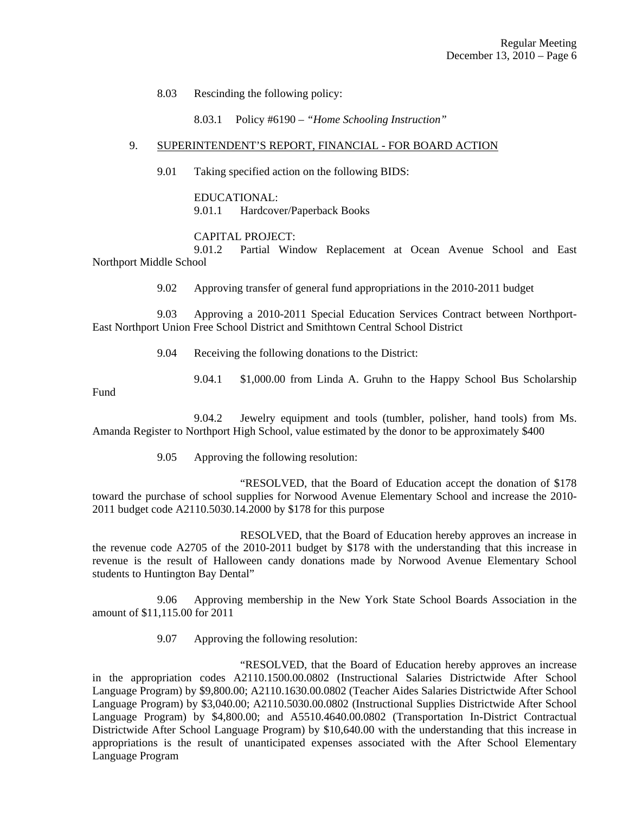- 8.03 Rescinding the following policy:
	- 8.03.1 Policy #6190 *"Home Schooling Instruction"*

#### 9. SUPERINTENDENT'S REPORT, FINANCIAL - FOR BOARD ACTION

9.01 Taking specified action on the following BIDS:

### EDUCATIONAL:

9.01.1 Hardcover/Paperback Books

#### CAPITAL PROJECT:

 9.01.2 Partial Window Replacement at Ocean Avenue School and East Northport Middle School

9.02 Approving transfer of general fund appropriations in the 2010-2011 budget

 9.03 Approving a 2010-2011 Special Education Services Contract between Northport-East Northport Union Free School District and Smithtown Central School District

- 9.04 Receiving the following donations to the District:
	- 9.04.1 \$1,000.00 from Linda A. Gruhn to the Happy School Bus Scholarship

Fund

 9.04.2 Jewelry equipment and tools (tumbler, polisher, hand tools) from Ms. Amanda Register to Northport High School, value estimated by the donor to be approximately \$400

9.05 Approving the following resolution:

 "RESOLVED, that the Board of Education accept the donation of \$178 toward the purchase of school supplies for Norwood Avenue Elementary School and increase the 2010- 2011 budget code A2110.5030.14.2000 by \$178 for this purpose

 RESOLVED, that the Board of Education hereby approves an increase in the revenue code A2705 of the 2010-2011 budget by \$178 with the understanding that this increase in revenue is the result of Halloween candy donations made by Norwood Avenue Elementary School students to Huntington Bay Dental"

 9.06 Approving membership in the New York State School Boards Association in the amount of \$11,115.00 for 2011

9.07 Approving the following resolution:

 "RESOLVED, that the Board of Education hereby approves an increase in the appropriation codes A2110.1500.00.0802 (Instructional Salaries Districtwide After School Language Program) by \$9,800.00; A2110.1630.00.0802 (Teacher Aides Salaries Districtwide After School Language Program) by \$3,040.00; A2110.5030.00.0802 (Instructional Supplies Districtwide After School Language Program) by \$4,800.00; and A5510.4640.00.0802 (Transportation In-District Contractual Districtwide After School Language Program) by \$10,640.00 with the understanding that this increase in appropriations is the result of unanticipated expenses associated with the After School Elementary Language Program